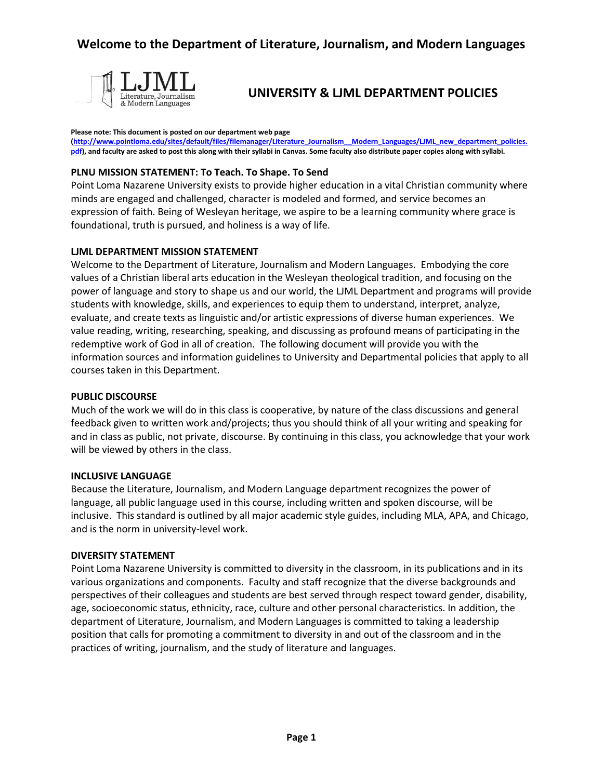

# **UNIVERSITY & LJML DEPARTMENT POLICIES**

#### **Please note: This document is posted on our department web page**

**[\(http://www.pointloma.edu/sites/default/files/filemanager/Literature\\_Journalism\\_\\_Modern\\_Languages/LJML\\_new\\_department\\_policies.](http://www.pointloma.edu/sites/default/files/filemanager/Literature_Journalism__Modern_Languages/LJML_new_department_policies.pdf) [pdf\)](http://www.pointloma.edu/sites/default/files/filemanager/Literature_Journalism__Modern_Languages/LJML_new_department_policies.pdf), and faculty are asked to post this along with their syllabi in Canvas. Some faculty also distribute paper copies along with syllabi.**

### **PLNU MISSION STATEMENT: To Teach. To Shape. To Send**

Point Loma Nazarene University exists to provide higher education in a vital Christian community where minds are engaged and challenged, character is modeled and formed, and service becomes an expression of faith. Being of Wesleyan heritage, we aspire to be a learning community where grace is foundational, truth is pursued, and holiness is a way of life.

#### **LJML DEPARTMENT MISSION STATEMENT**

Welcome to the Department of Literature, Journalism and Modern Languages. Embodying the core values of a Christian liberal arts education in the Wesleyan theological tradition, and focusing on the power of language and story to shape us and our world, the LJML Department and programs will provide students with knowledge, skills, and experiences to equip them to understand, interpret, analyze, evaluate, and create texts as linguistic and/or artistic expressions of diverse human experiences. We value reading, writing, researching, speaking, and discussing as profound means of participating in the redemptive work of God in all of creation. The following document will provide you with the information sources and information guidelines to University and Departmental policies that apply to all courses taken in this Department.

#### **PUBLIC DISCOURSE**

Much of the work we will do in this class is cooperative, by nature of the class discussions and general feedback given to written work and/projects; thus you should think of all your writing and speaking for and in class as public, not private, discourse. By continuing in this class, you acknowledge that your work will be viewed by others in the class.

#### **INCLUSIVE LANGUAGE**

Because the Literature, Journalism, and Modern Language department recognizes the power of language, all public language used in this course, including written and spoken discourse, will be inclusive. This standard is outlined by all major academic style guides, including MLA, APA, and Chicago, and is the norm in university-level work.

#### **DIVERSITY STATEMENT**

Point Loma Nazarene University is committed to diversity in the classroom, in its publications and in its various organizations and components. Faculty and staff recognize that the diverse backgrounds and perspectives of their colleagues and students are best served through respect toward gender, disability, age, socioeconomic status, ethnicity, race, culture and other personal characteristics. In addition, the department of Literature, Journalism, and Modern Languages is committed to taking a leadership position that calls for promoting a commitment to diversity in and out of the classroom and in the practices of writing, journalism, and the study of literature and languages.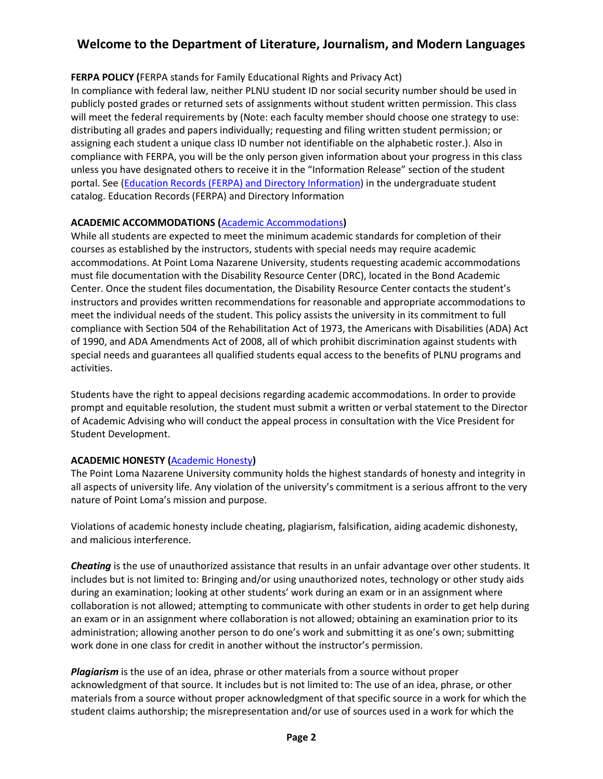# **Welcome to the Department of Literature, Journalism, and Modern Languages**

## **FERPA POLICY (**FERPA stands for Family Educational Rights and Privacy Act)

In compliance with federal law, neither PLNU student ID nor social security number should be used in publicly posted grades or returned sets of assignments without student written permission. This class will meet the federal requirements by (Note: each faculty member should choose one strategy to use: distributing all grades and papers individually; requesting and filing written student permission; or assigning each student a unique class ID number not identifiable on the alphabetic roster.). Also in compliance with FERPA, you will be the only person given information about your progress in this class unless you have designated others to receive it in the "Information Release" section of the student portal. See [\(Education Records \(FERPA\) and Directory Information\)](http://catalog.pointloma.edu/content.php?catoid=18&navoid=1278#Education_Records__FERPA__and_Directory_Information) in the undergraduate student catalog. Education Records (FERPA) and Directory Information

## **ACADEMIC ACCOMMODATIONS (**[Academic Accommodations](http://catalog.pointloma.edu/content.php?catoid=18&navoid=1278#Academic_Accommodations)**)**

While all students are expected to meet the minimum academic standards for completion of their courses as established by the instructors, students with special needs may require academic accommodations. At Point Loma Nazarene University, students requesting academic accommodations must file documentation with the Disability Resource Center (DRC), located in the Bond Academic Center. Once the student files documentation, the Disability Resource Center contacts the student's instructors and provides written recommendations for reasonable and appropriate accommodations to meet the individual needs of the student. This policy assists the university in its commitment to full compliance with Section 504 of the Rehabilitation Act of 1973, the Americans with Disabilities (ADA) Act of 1990, and ADA Amendments Act of 2008, all of which prohibit discrimination against students with special needs and guarantees all qualified students equal access to the benefits of PLNU programs and activities.

Students have the right to appeal decisions regarding academic accommodations. In order to provide prompt and equitable resolution, the student must submit a written or verbal statement to the Director of Academic Advising who will conduct the appeal process in consultation with the Vice President for Student Development.

## **ACADEMIC HONESTY (**[Academic Honesty](http://catalog.pointloma.edu/content.php?catoid=18&navoid=1278#Academic_Honesty)**)**

The Point Loma Nazarene University community holds the highest standards of honesty and integrity in all aspects of university life. Any violation of the university's commitment is a serious affront to the very nature of Point Loma's mission and purpose.

Violations of academic honesty include cheating, plagiarism, falsification, aiding academic dishonesty, and malicious interference.

*Cheating* is the use of unauthorized assistance that results in an unfair advantage over other students. It includes but is not limited to: Bringing and/or using unauthorized notes, technology or other study aids during an examination; looking at other students' work during an exam or in an assignment where collaboration is not allowed; attempting to communicate with other students in order to get help during an exam or in an assignment where collaboration is not allowed; obtaining an examination prior to its administration; allowing another person to do one's work and submitting it as one's own; submitting work done in one class for credit in another without the instructor's permission.

*Plagiarism* is the use of an idea, phrase or other materials from a source without proper acknowledgment of that source. It includes but is not limited to: The use of an idea, phrase, or other materials from a source without proper acknowledgment of that specific source in a work for which the student claims authorship; the misrepresentation and/or use of sources used in a work for which the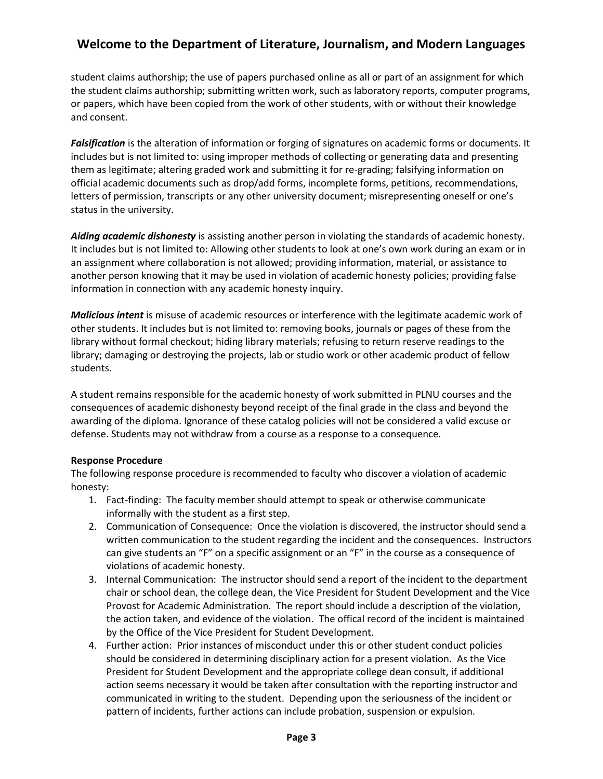# **Welcome to the Department of Literature, Journalism, and Modern Languages**

student claims authorship; the use of papers purchased online as all or part of an assignment for which the student claims authorship; submitting written work, such as laboratory reports, computer programs, or papers, which have been copied from the work of other students, with or without their knowledge and consent.

*Falsification* is the alteration of information or forging of signatures on academic forms or documents. It includes but is not limited to: using improper methods of collecting or generating data and presenting them as legitimate; altering graded work and submitting it for re-grading; falsifying information on official academic documents such as drop/add forms, incomplete forms, petitions, recommendations, letters of permission, transcripts or any other university document; misrepresenting oneself or one's status in the university.

*Aiding academic dishonesty* is assisting another person in violating the standards of academic honesty. It includes but is not limited to: Allowing other students to look at one's own work during an exam or in an assignment where collaboration is not allowed; providing information, material, or assistance to another person knowing that it may be used in violation of academic honesty policies; providing false information in connection with any academic honesty inquiry.

*Malicious intent* is misuse of academic resources or interference with the legitimate academic work of other students. It includes but is not limited to: removing books, journals or pages of these from the library without formal checkout; hiding library materials; refusing to return reserve readings to the library; damaging or destroying the projects, lab or studio work or other academic product of fellow students.

A student remains responsible for the academic honesty of work submitted in PLNU courses and the consequences of academic dishonesty beyond receipt of the final grade in the class and beyond the awarding of the diploma. Ignorance of these catalog policies will not be considered a valid excuse or defense. Students may not withdraw from a course as a response to a consequence.

## **Response Procedure**

The following response procedure is recommended to faculty who discover a violation of academic honesty:

- 1. Fact-finding: The faculty member should attempt to speak or otherwise communicate informally with the student as a first step.
- 2. Communication of Consequence: Once the violation is discovered, the instructor should send a written communication to the student regarding the incident and the consequences. Instructors can give students an "F" on a specific assignment or an "F" in the course as a consequence of violations of academic honesty.
- 3. Internal Communication: The instructor should send a report of the incident to the department chair or school dean, the college dean, the Vice President for Student Development and the Vice Provost for Academic Administration. The report should include a description of the violation, the action taken, and evidence of the violation. The offical record of the incident is maintained by the Office of the Vice President for Student Development.
- 4. Further action: Prior instances of misconduct under this or other student conduct policies should be considered in determining disciplinary action for a present violation. As the Vice President for Student Development and the appropriate college dean consult, if additional action seems necessary it would be taken after consultation with the reporting instructor and communicated in writing to the student. Depending upon the seriousness of the incident or pattern of incidents, further actions can include probation, suspension or expulsion.